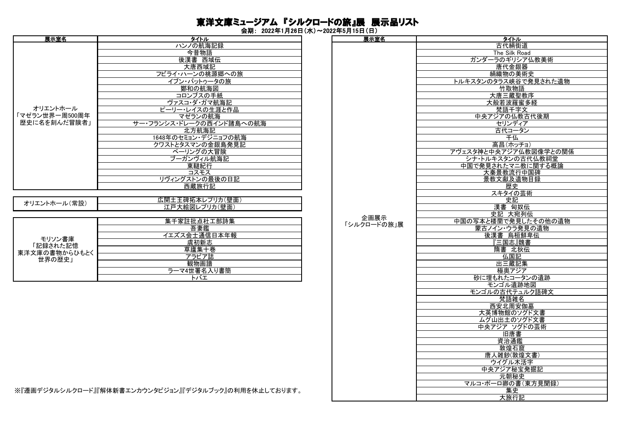## 東洋文庫ミュージアム 『シルクロードの旅』展 展示品リスト

会期: 2022年1月26日(水)~2022年5月15日(日)

| 展示室名                                                                                                                                                                                                                           | タイトル                     | 展示室名 |                     |
|--------------------------------------------------------------------------------------------------------------------------------------------------------------------------------------------------------------------------------|--------------------------|------|---------------------|
|                                                                                                                                                                                                                                | ハンノの航海記録                 |      | <u>タイトル</u><br>古代絹街 |
|                                                                                                                                                                                                                                | 今昔物語                     |      | The Silk R          |
|                                                                                                                                                                                                                                | 後漢書 西域伝                  |      | ガンダーラのギリシ           |
|                                                                                                                                                                                                                                | 大唐西域記                    |      | 唐代金銀                |
|                                                                                                                                                                                                                                | フビライ・ハーンの桃源郷への旅          |      | 絹織物の美               |
|                                                                                                                                                                                                                                | イブン・バットゥータの旅             |      | トルキスタンのタラス峡谷        |
|                                                                                                                                                                                                                                | 鄭和の航海図                   |      | 竹取物                 |
|                                                                                                                                                                                                                                | コロンブスの手紙                 |      | 大唐三蔵聖               |
|                                                                                                                                                                                                                                | ヴァスコ・ダ・ガマ航海記             |      | 大般若波羅               |
| オリエントホール                                                                                                                                                                                                                       | ピーリー・レイスの生涯と作品           |      | <u> 梵語千字</u>        |
| 「マゼラン世界一周500周年                                                                                                                                                                                                                 | マゼランの航海                  |      | 中央アジアの仏教            |
| 歴史に名を刻んだ冒険者」                                                                                                                                                                                                                   | サー・フランシス・ドレークの西インド諸島への航海 |      | セリンディ               |
|                                                                                                                                                                                                                                | 北方航海記                    |      | 古代コーク               |
|                                                                                                                                                                                                                                | 1648年のセミョン・デジニョフの航海      |      | 千仏                  |
|                                                                                                                                                                                                                                | クワストとタスマンの金銀島発見記         |      | 高昌(ホッ               |
|                                                                                                                                                                                                                                | ベーリングの大冒険                |      | アヴェスタ神と中央アジアイ       |
|                                                                                                                                                                                                                                | ブーガンヴィル航海記               |      | シナ・トルキスタンの          |
|                                                                                                                                                                                                                                | 東韃紀行                     |      | 中国で発見されたマニ          |
|                                                                                                                                                                                                                                | コスモス                     |      | 大秦景教流行              |
|                                                                                                                                                                                                                                | リヴィングストンの最後の日記           |      | 景教文獻及遺              |
|                                                                                                                                                                                                                                | 西蔵旅行記                    |      | 歴史                  |
|                                                                                                                                                                                                                                |                          |      | スキタイの               |
| the contract of the second contract of the second second second to the second second second to the second second second second second second second second second second second second second second second second second seco | 広開土王碑拓本レプリカ(壁面)          |      | 中記                  |

| オリエントホール(常設)      | 江戸大絵図レプリカ(壁面) |
|-------------------|---------------|
|                   |               |
|                   | 集千家註批点杜工部詩集   |
|                   | 吾妻鑑           |
|                   | イエズス会士通信日本年報  |
| モリソン書庫<br>記録された記憶 | 虞初新志          |
| 東洋文庫の書物からひもとく     | 草廬集十巻         |
| 世界の歴史」            | アラビア誌         |
|                   | 観物画譜          |
|                   | ラーマ4世署名入り書簡   |
|                   | トバエ           |

| タイトル                             | 展示室名        | タイトル                  |
|----------------------------------|-------------|-----------------------|
| ハンノの航海記録                         |             | 古代絹街道                 |
| 今昔物語                             |             | The Silk Road         |
| 後漢書 西域伝                          |             | ガンダーラのギリシア仏教美術        |
| 大唐西域記                            |             | 唐代金銀器                 |
| フビライ・ハーンの桃源郷への旅                  |             | 絹織物の美術史               |
| イブン・バットゥータの旅                     |             | トルキスタンのタラス峡谷で発見された遺物  |
| 鄭和の航海図                           |             | 竹取物語                  |
| コロンブスの手紙                         |             | 大唐三蔵聖教序               |
| ヴァスコ・ダ・ガマ航海記                     |             | <u>大般若波羅蜜多経</u>       |
| ピーリー・レイスの生涯と作品                   |             | 梵語千字文                 |
| マゼランの航海                          |             | 中央アジアの仏教古代後期          |
|                                  |             | セリンディア                |
| サー・フランシス・ドレークの西インド諸島への航海         |             |                       |
| 北方航海記                            |             | 古代コータン                |
| 1648年のセミョン・デジニョフの航海              |             | 千仏                    |
| クワストとタスマンの金銀島発見記                 |             | 高昌(ホッチョ)              |
| ベーリングの大冒険                        |             | アヴェスタ神と中央アジア仏教図像学との関係 |
| ブーガンヴィル航海記                       |             | シナ・トルキスタンの古代仏教祠堂      |
| 東韃紀行                             |             | 中国で発見されたマニ教に関する概論     |
| コスモス                             |             | 大秦景教流行中国碑             |
| リヴィングストンの最後の日記                   |             | 景教文獻及遺物目録             |
| 西蔵旅行記                            |             | 歴史                    |
|                                  |             | スキタイの芸術               |
| 広開土王碑拓本レプリカ(壁面)                  |             | 史記                    |
| 江戸大絵図レプリカ(壁面)                    |             | 漢書 匈奴伝                |
|                                  | 企画展示        | 史記 大宛列伝               |
| 集千家註批点杜工部詩集                      | 「シルクロードの旅」展 | 中国の写本と楼蘭で発見したその他の遺物   |
| 吾妻鑑                              |             | <u> 蒙古ノイン・ウラ発見の遺物</u> |
| イエズス会士通信日本年報                     |             | 後漢書 烏桓鮮卑伝             |
| 虞初新志                             |             | 【三国志』魏書               |
| 草廬集十巻                            |             | 隋書 北狄伝                |
| アラビア誌                            |             | 仏国記                   |
| 観物画譜                             |             | 出三蔵記集                 |
| ラーマ4世署名入り書簡                      |             | 極奥アジア                 |
| トバエ                              |             | 砂に埋もれたコータンの遺跡         |
|                                  |             | モンゴル遺跡地図              |
|                                  |             | モンゴルの古代テュルク語碑文        |
|                                  |             | 梵語雑名                  |
|                                  |             | 西安北周安伽墓               |
|                                  |             | 大英博物館のソグド文書           |
|                                  |             | ムグ山出土のソグド文書           |
|                                  |             | 中央アジア ソグドの芸術          |
|                                  |             | 旧唐書                   |
|                                  |             | 資治通鑑                  |
|                                  |             | 敦煌石窟                  |
|                                  |             | 唐人雑鈔(敦煌文書)            |
|                                  |             | ウイグル木活字               |
|                                  |             | 中央アジア秘宝発掘記            |
|                                  |             | 元朝秘史                  |
|                                  |             |                       |
|                                  |             | マルコ・ポーロ卿の書(東方見聞録)     |
| ンカウンタビジョン』『デジタルブック』の利用を休止しております。 |             | 集史                    |
|                                  |             | 大旅行記                  |

※『遷画デジタルシルクロード』『解体新書エンカウンタビジョン』『デジタルブック』の利用を休止しております。